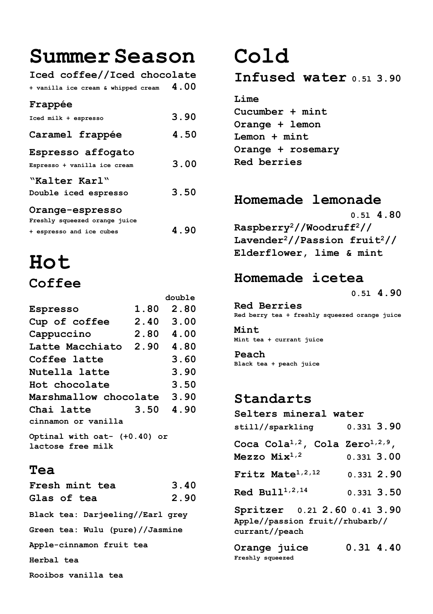**SummerSeason**

**Iced coffee//Iced chocolate + vanilla ice cream & whipped cream 4.00**

#### **Frappée**

| Iced milk + espresso                              | 3.90 |
|---------------------------------------------------|------|
| Caramel frappée                                   | 4.50 |
| Espresso affogato<br>Espresso + vanilla ice cream | 3.00 |
| "Kalter Karl"<br>Double iced espresso             | 3.50 |
| Orange-espresso<br>Freshly squeezed orange juice  |      |
| + espresso and ice cubes                          | 4.90 |

## **Hot Coffee**

|                                                                                           |      | double    |  |
|-------------------------------------------------------------------------------------------|------|-----------|--|
| Espresso                                                                                  | 1.80 | 2.80      |  |
| Cup of coffee                                                                             | 2.40 | 3.00      |  |
| Cappuccino                                                                                |      | 2.80 4.00 |  |
| Latte Macchiato                                                                           | 2.90 | 4.80      |  |
| Coffee latte                                                                              |      | 3.60      |  |
| Nutella latte                                                                             |      | 3.90      |  |
| Hot chocolate                                                                             |      | 3.50      |  |
| Marshmallow chocolate                                                                     |      | 3.90      |  |
| Chai latte                                                                                | 3.50 | 4.90      |  |
| cinnamon or vanilla                                                                       |      |           |  |
| $0 \rightarrow 0$ $0 \rightarrow 0$ $0 \rightarrow 0$ $0 \rightarrow 0$ $0 \rightarrow 0$ |      |           |  |

**Optinal with oat- (+0.40) or lactose free milk**

#### **Tea**

| Fresh mint tea                   | 3.40 |  |  |
|----------------------------------|------|--|--|
| Glas of tea                      | 2.90 |  |  |
| Black tea: Darjeeling//Earl grey |      |  |  |
| Green tea: Wulu (pure)//Jasmine  |      |  |  |
| Apple-cinnamon fruit tea         |      |  |  |
| Herbal tea                       |      |  |  |
| Rooibos vanilla tea              |      |  |  |

## **Cold**

**Infused water 0.5l 3.90**

**Lime Cucumber + mint Orange + lemon Lemon + mint Orange + rosemary Red berries**

### **Homemade lemonade**

 **0.5l 4.80 Raspberry<sup>2</sup>//Woodruff<sup>2</sup>// Lavender<sup>2</sup>//Passion fruit<sup>2</sup>// Elderflower, lime & mint**

### **Homemade icetea**

 **0.5l 4.90**

**Red Berries Red berry tea + freshly squeezed orange juice**

**Mint Mint tea + currant juice**

**Peach Black tea + peach juice**

### **Standarts**

| Selters mineral water                                   |                  |  |              |
|---------------------------------------------------------|------------------|--|--------------|
| still//sparkling                                        |                  |  | $0.331$ 3.90 |
| Coca Cola <sup>1,2</sup> , Cola Zero <sup>1,2,9</sup> , |                  |  |              |
| Mezzo $Mix^{1,2}$                                       | $0.331$ 3.00     |  |              |
| Fritz Mate <sup>1,2,12</sup>                            |                  |  | 0.3312.90    |
| Red Bull <sup>1,2,14</sup>                              |                  |  | $0.331$ 3.50 |
| Spritzer 0.21 2.60 0.41 3.90                            |                  |  |              |
| Apple//passion fruit//rhubarb//                         |                  |  |              |
| currant//peach                                          |                  |  |              |
| $O$ range $\overline{111}$ ge                           | <b>0 31 4 40</b> |  |              |

**Orange juice 0.3l 4.40 Freshly squeezed**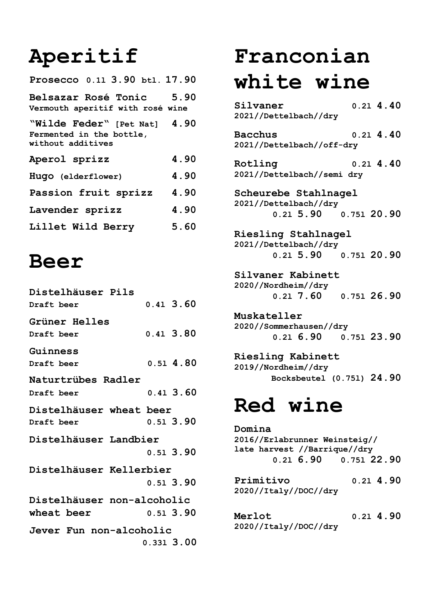# **Aperitif**

| Prosecco 0.11 3.90 btl. 17.90                                                 |      |
|-------------------------------------------------------------------------------|------|
| Belsazar Rosé Tonic<br>Vermouth aperitif with rosé wine                       | 5.90 |
| "Wilde Feder" [Pet Nat] 4.90<br>Fermented in the bottle,<br>without additives |      |
| Aperol sprizz                                                                 | 4.90 |
| Hugo (elderflower)                                                            | 4.90 |
| Passion fruit sprizz                                                          | 4.90 |
| Lavender sprizz                                                               | 4.90 |
| Lillet Wild Berry                                                             | 5.60 |

## **Beer**

| Distelhäuser Pils          |             |
|----------------------------|-------------|
| Draft beer                 | $0.41$ 3.60 |
| Grüner Helles              |             |
| Draft beer                 | 0.41, 3.80  |
| Guinness                   |             |
| Draft beer                 | 0.514.80    |
| Naturtrübes Radler         |             |
| Draft beer                 | 0.41, 3.60  |
| Distelhäuser wheat beer    |             |
| Draft beer                 | $0.51$ 3.90 |
| Distelhäuser Landbier      |             |
|                            | 0.513.90    |
| Distelhäuser Kellerbier    |             |
|                            | $0.51$ 3.90 |
| Distelhäuser non-alcoholic |             |
| wheat beer                 | $0.51$ 3.90 |
| Jever Fun non-alcoholic    |             |
|                            | 0.331 3.00  |

# **Franconian white wine**

**Silvaner 0.2l 4.40 2021//Dettelbach//dry**

**Bacchus 0.2l 4.40 2021//Dettelbach//off-dry**

**Rotling 0.2l 4.40 2021//Dettelbach//semi dry**

**Scheurebe Stahlnagel 2021//Dettelbach//dry 0.2l 5.90 0.75l 20.90**

**Riesling Stahlnagel 2021//Dettelbach//dry 0.2l 5.90 0.75l 20.90**

**Silvaner Kabinett 2020//Nordheim//dry 0.2l 7.60 0.75l 26.90**

**Muskateller 2020//Sommerhausen//dry 0.2l 6.90 0.75l 23.90**

**Riesling Kabinett 2019//Nordheim//dry Bocksbeutel (0.75l) 24.90**

## **Red wine**

**Domina 2016//Erlabrunner Weinsteig// late harvest //Barrique//dry 0.2l 6.90 0.75l 22.90 Primitivo 0.2l 4.90 2020//Italy//DOC//dry Merlot 0.2l 4.90**

**2020//Italy//DOC//dry**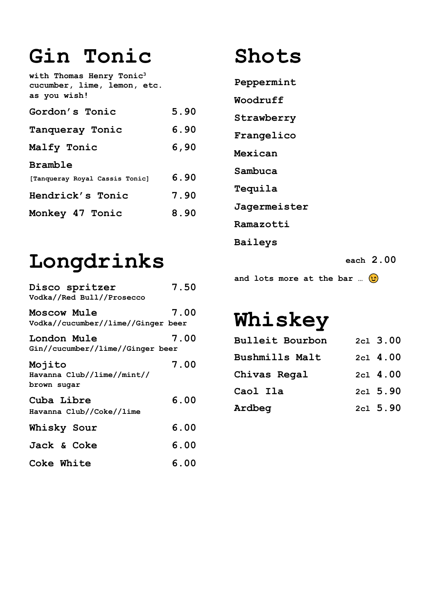# **Gin Tonic**

**with Thomas Henry Tonic<sup>3</sup> cucumber, lime, lemon, etc. as you wish! Gordon's Tonic 5.90 Tanqueray Tonic 6.90 Malfy Tonic 6,90 Bramble [Tanqueray Royal Cassis Tonic] 6.90 Hendrick's Tonic 7.90 Monkey 47 Tonic 8.90**

# **Longdrinks**

| Disco spritzer<br>Vodka//Red Bull//Prosecco              | 7.50 |
|----------------------------------------------------------|------|
| <b>Moscow Mule</b><br>Vodka//cucumber//lime//Ginger beer | 7.00 |
| London Mule<br>Gin//cucumber//lime//Ginger beer          | 7.00 |
| Mojito<br>Havanna Club//lime//mint//<br>brown sugar      | 7.00 |
| Cuba Libre<br>Havanna Club//Coke//lime                   | 6.00 |
| Whisky Sour                                              | 6.00 |
| Jack & Coke                                              | 6.00 |
| Coke White                                               | 6.00 |

# **Shots**

**Peppermint**

**Woodruff**

**Strawberry**

**Frangelico**

**Mexican Sambuca**

**Tequila**

**Jagermeister**

**Ramazotti**

**Baileys**

 **each 2.00**

**and lots more at the bar …**

# **Whiskey**

| <b>Bulleit Bourbon</b> | $2c1$ 3.00 |
|------------------------|------------|
| Bushmills Malt         | 2c1 4.00   |
| Chivas Regal           | 2c1 4.00   |
| Caol Ila               | 2c1 5.90   |
| Ardbeg                 | 2c1, 5.90  |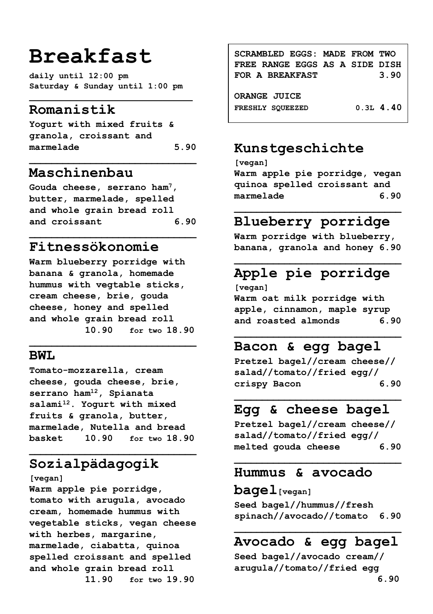## **Breakfast**

**daily until 12:00 pm Saturday & Sunday until 1:00 pm**

### **Romanistik**

**Yogurt with mixed fruits & granola, croissant and marmelade 5.90**

**\_\_\_\_\_\_\_\_\_\_\_\_\_\_\_\_\_\_\_\_\_\_\_\_\_\_\_\_\_\_**

#### **Maschinenbau**

**Gouda cheese, serrano ham<sup>7</sup>, butter, marmelade, spelled and whole grain bread roll and croissant 6.90**

**\_\_\_\_\_\_\_\_\_\_\_\_\_\_\_\_\_\_\_\_\_\_\_\_\_\_\_\_\_\_**

### **Fitnessökonomie**

**Warm blueberry porridge with banana & granola, homemade hummus with vegtable sticks, cream cheese, brie, gouda cheese, honey and spelled and whole grain bread roll 10.90 for two 18.90**

**\_\_\_\_\_\_\_\_\_\_\_\_\_\_\_\_\_\_\_\_\_\_\_\_\_\_\_\_\_\_**

#### **BWT.**

**Tomato-mozzarella, cream cheese, gouda cheese, brie, serrano ham<sup>12</sup>, Spianata salami<sup>12</sup>. Yogurt with mixed fruits & granola, butter, marmelade, Nutella and bread basket 10.90 for two 18.90**

**\_\_\_\_\_\_\_\_\_\_\_\_\_\_\_\_\_\_\_\_\_\_\_\_\_\_\_\_\_\_**

## **Sozialpädagogik**

**[vegan]** 

**Warm apple pie porridge, tomato with arugula, avocado cream, homemade hummus with vegetable sticks, vegan cheese with herbes, margarine, marmelade, ciabatta, quinoa spelled croissant and spelled and whole grain bread roll 11.90 for two 19.90**

**SCRAMBLED EGGS: MADE FROM TWO FREE RANGE EGGS AS A SIDE DISH FOR A BREAKFAST 3.90 ORANGE JUICE FRESHLY SQUEEZED 0.3L 4.40**

### **Kunstgeschichte**

**[vegan] Warm apple pie porridge, vegan quinoa spelled croissant and marmelade 6.90**

### **\_\_\_\_\_\_\_\_\_\_\_\_\_\_\_\_\_\_\_\_\_\_\_\_\_\_\_\_\_\_ Blueberry porridge**

**Warm porridge with blueberry, banana, granola and honey 6.90**

### **Apple pie porridge**

**[vegan] Warm oat milk porridge with apple, cinnamon, maple syrup and roasted almonds 6.90**

**\_\_\_\_\_\_\_\_\_\_\_\_\_\_\_\_\_\_\_\_\_\_\_\_\_\_\_\_\_\_**

### **Bacon & egg bagel**

**Pretzel bagel//cream cheese// salad//tomato//fried egg// crispy Bacon 6.90**

### **Egg & cheese bagel**

**Pretzel bagel//cream cheese// salad//tomato//fried egg// melted gouda cheese 6.90**

**\_\_\_\_\_\_\_\_\_\_\_\_\_\_\_\_\_\_\_\_\_\_\_\_\_\_\_\_\_\_**

#### **Hummus & avocado**

#### **bagel[vegan]**

**Seed bagel//hummus//fresh spinach//avocado//tomato 6.90**

## **Avocado & egg bagel**

**Seed bagel//avocado cream// arugula//tomato//fried egg**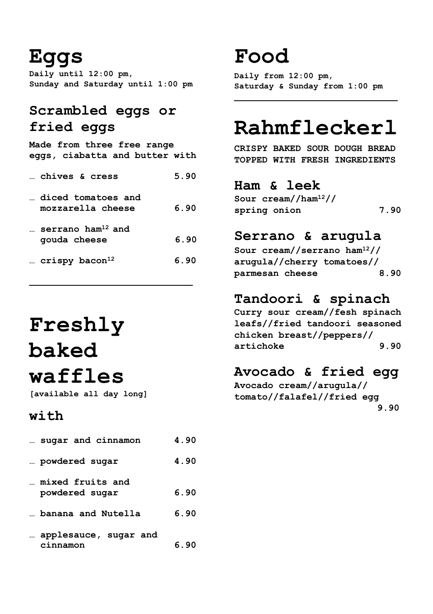## **Eggs**

**Daily until 12:00 pm, Sunday and Saturday until 1:00 pm**

### **Scrambled eggs or fried eggs**

**Made from three free range eggs, ciabatta and butter with**

| echives & cress                               | 5.90 |
|-----------------------------------------------|------|
| diced tomatoes and<br>mozzarella cheese       | 6.90 |
| serrano ham <sup>12</sup> and<br>gouda cheese | 6.90 |
| $crispy$ bacon <sup>12</sup>                  | 6.90 |

# **Freshly baked waffles**

**[available all day long]**

### **with**

| sugar and cinnamon                 | 4.90 |
|------------------------------------|------|
| powdered sugar                     | 4.90 |
| mixed fruits and<br>powdered sugar | 6.90 |
| banana and Nutella                 | 6.90 |
| applesauce, sugar and<br>nnamon    | 6.90 |

## **Food**

**Daily from 12:00 pm, Saturday & Sunday from 1:00 pm**

# **Rahmfleckerl**

**CRISPY BAKED SOUR DOUGH BREAD TOPPED WITH FRESH INGREDIENTS**

### **Ham & leek**

**Sour cream//ham<sup>12</sup>// spring onion 7.90**

### **Serrano & arugula**

**Sour cream//serrano ham<sup>12</sup>// arugula//cherry tomatoes// parmesan cheese 8.90**

## **Tandoori & spinach**

**Curry sour cream//fesh spinach leafs//fried tandoori seasoned chicken breast//peppers// artichoke 9.90**

## **Avocado & fried egg**

**Avocado cream//arugula// tomato//falafel//fried egg 9.90**